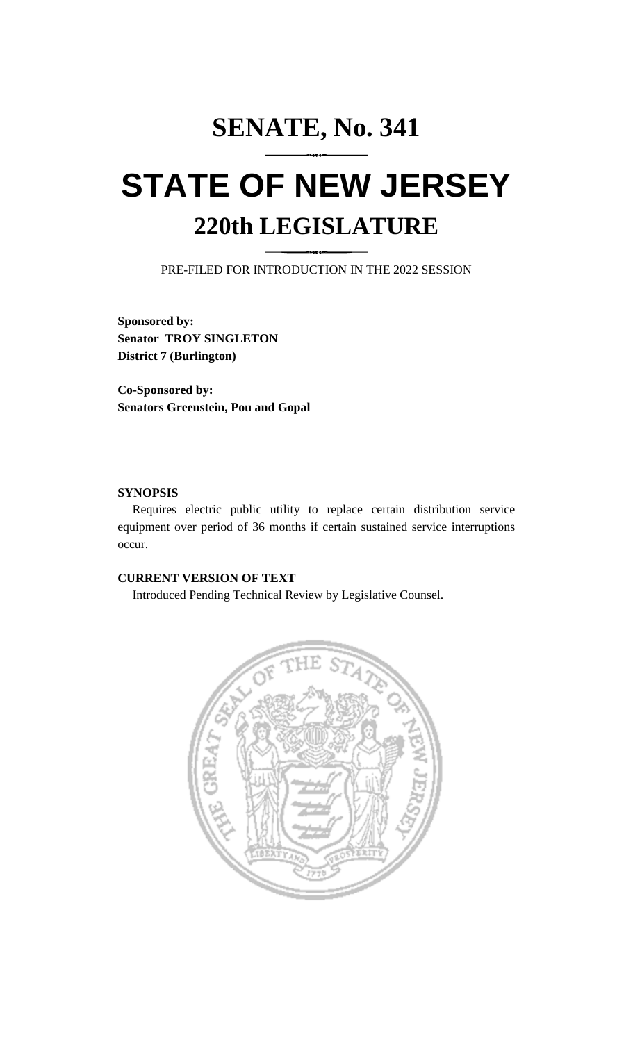# **SENATE, No. 341 STATE OF NEW JERSEY 220th LEGISLATURE**

PRE-FILED FOR INTRODUCTION IN THE 2022 SESSION

**Sponsored by: Senator TROY SINGLETON District 7 (Burlington)**

**Co-Sponsored by: Senators Greenstein, Pou and Gopal**

## **SYNOPSIS**

Requires electric public utility to replace certain distribution service equipment over period of 36 months if certain sustained service interruptions occur.

# **CURRENT VERSION OF TEXT**

Introduced Pending Technical Review by Legislative Counsel.

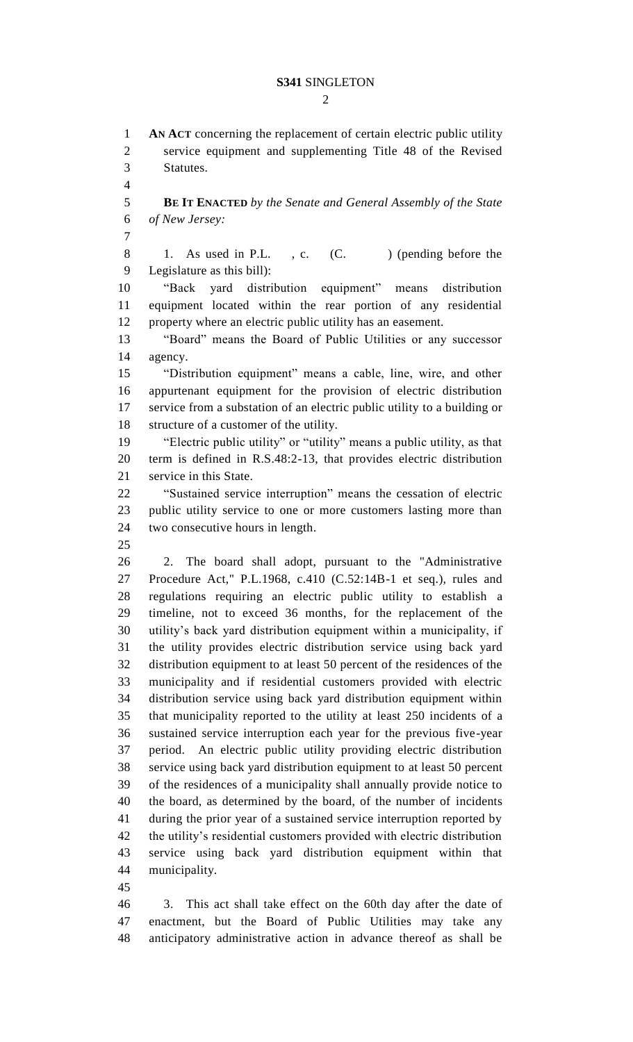#### **S341** SINGLETON

 $\mathcal{D}_{\mathcal{L}}$ 

 **AN ACT** concerning the replacement of certain electric public utility service equipment and supplementing Title 48 of the Revised Statutes. **BE IT ENACTED** *by the Senate and General Assembly of the State of New Jersey:* 8 1. As used in P.L., c. (C.) (pending before the Legislature as this bill): "Back yard distribution equipment" means distribution equipment located within the rear portion of any residential property where an electric public utility has an easement. "Board" means the Board of Public Utilities or any successor agency. "Distribution equipment" means a cable, line, wire, and other appurtenant equipment for the provision of electric distribution service from a substation of an electric public utility to a building or structure of a customer of the utility. "Electric public utility" or "utility" means a public utility, as that term is defined in R.S.48:2-13, that provides electric distribution service in this State. "Sustained service interruption" means the cessation of electric public utility service to one or more customers lasting more than two consecutive hours in length. 2. The board shall adopt, pursuant to the "Administrative Procedure Act," P.L.1968, c.410 (C.52:14B-1 et seq.), rules and regulations requiring an electric public utility to establish a timeline, not to exceed 36 months, for the replacement of the utility's back yard distribution equipment within a municipality, if the utility provides electric distribution service using back yard distribution equipment to at least 50 percent of the residences of the municipality and if residential customers provided with electric distribution service using back yard distribution equipment within that municipality reported to the utility at least 250 incidents of a sustained service interruption each year for the previous five-year period. An electric public utility providing electric distribution service using back yard distribution equipment to at least 50 percent of the residences of a municipality shall annually provide notice to the board, as determined by the board, of the number of incidents during the prior year of a sustained service interruption reported by the utility's residential customers provided with electric distribution service using back yard distribution equipment within that municipality. 3. This act shall take effect on the 60th day after the date of enactment, but the Board of Public Utilities may take any

anticipatory administrative action in advance thereof as shall be